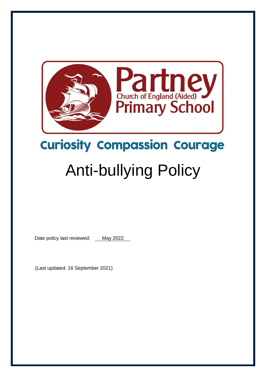

# **Curiosity Compassion Courage**

# Anti-bullying Policy

Date policy last reviewed: May 2022

(Last updated: 16 September 2021)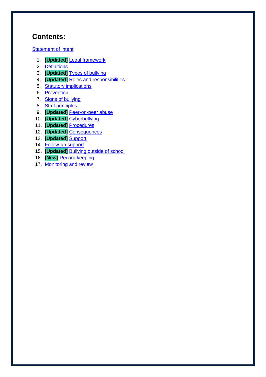# **Contents:**

**[Statement of intent](#page-2-0)** 

- 1. **[Updated]** [Legal framework](#page-3-0)
- 2. [Definitions](#page-3-1)
- 3. **[Updated]** [Types of bullying](#page-4-0)
- 4. **[Updated]** [Roles and responsibilities](#page-5-0)
- 5. [Statutory implications](#page-6-0)
- 6. [Prevention](#page-7-0)
- 7. [Signs of bullying](#page-7-1)
- 8. [Staff principles](#page-8-0)
- 9. **[Updated]** [Peer-on-peer abuse](#page-8-1)
- 10. **[Updated]** [Cyberbullying](#page-9-0)
- 11. **[Updated]** [Procedures](#page-10-0)
- 12. **[Updated]** [Consequences](#page-11-0)
- 13. **[Updated]** [Support](#page-12-0)
- 14. [Follow-up support](#page-12-1)
- 15. **[Updated]** [Bullying outside of school](#page-13-0)
- 16. **[New]** Record [keeping](#page-13-1)
- 17. [Monitoring and review](#page-13-2)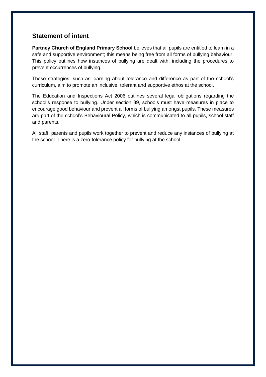#### <span id="page-2-0"></span>**Statement of intent**

Partney Church of England Primary School believes that all pupils are entitled to learn in a safe and supportive environment; this means being free from all forms of bullying behaviour. This policy outlines how instances of bullying are dealt with, including the procedures to prevent occurrences of bullying.

These strategies, such as learning about tolerance and difference as part of the school's curriculum, aim to promote an inclusive, tolerant and supportive ethos at the school.

The Education and Inspections Act 2006 outlines several legal obligations regarding the school's response to bullying. Under section 89, schools must have measures in place to encourage good behaviour and prevent all forms of bullying amongst pupils. These measures are part of the school's Behavioural Policy, which is communicated to all pupils, school staff and parents.

All staff, parents and pupils work together to prevent and reduce any instances of bullying at the school. There is a zero-tolerance policy for bullying at the school.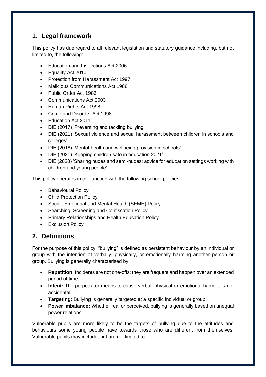### <span id="page-3-0"></span>**1. Legal framework**

This policy has due regard to all relevant legislation and statutory guidance including, but not limited to, the following:

- Education and Inspections Act 2006
- Equality Act 2010
- Protection from Harassment Act 1997
- Malicious Communications Act 1988
- Public Order Act 1986
- Communications Act 2003
- Human Rights Act 1998
- Crime and Disorder Act 1998
- Education Act 2011
- DfE (2017) 'Preventing and tackling bullying'
- DfE (2021) 'Sexual violence and sexual harassment between children in schools and colleges'
- DfE (2018) 'Mental health and wellbeing provision in schools'
- DfE (2021) 'Keeping children safe in education 2021'
- DfE (2020) 'Sharing nudes and semi-nudes: advice for education settings working with children and young people'

This policy operates in conjunction with the following school policies:

- Behavioural Policy
- Child Protection Policy
- Social, Emotional and Mental Health (SEMH) Policy
- Searching, Screening and Confiscation Policy
- Primary Relationships and Health Education Policy
- Exclusion Policy

#### <span id="page-3-1"></span>**2. Definitions**

For the purpose of this policy, "bullying" is defined as persistent behaviour by an individual or group with the intention of verbally, physically, or emotionally harming another person or group. Bullying is generally characterised by:

- **Repetition:** Incidents are not one-offs; they are frequent and happen over an extended period of time.
- **Intent:** The perpetrator means to cause verbal, physical or emotional harm; it is not accidental.
- **Targeting:** Bullying is generally targeted at a specific individual or group.
- **Power imbalance:** Whether real or perceived, bullying is generally based on unequal power relations.

Vulnerable pupils are more likely to be the targets of bullying due to the attitudes and behaviours some young people have towards those who are different from themselves. Vulnerable pupils may include, but are not limited to: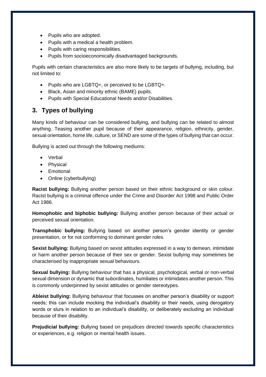- Pupils who are adopted.
- Pupils with a medical a health problem.
- Pupils with caring responsibilities.
- Pupils from socioeconomically disadvantaged backgrounds.

Pupils with certain characteristics are also more likely to be targets of bullying, including, but not limited to:

- Pupils who are LGBTQ+, or perceived to be LGBTQ+.
- Black, Asian and minority ethnic (BAME) pupils.
- Pupils with Special Educational Needs and/or Disabilities.

#### <span id="page-4-0"></span>**3. Types of bullying**

Many kinds of behaviour can be considered bullying, and bullying can be related to almost anything. Teasing another pupil because of their appearance, religion, ethnicity, gender, sexual orientation, home life, culture, or SEND are some of the types of bullying that can occur.

Bullying is acted out through the following mediums:

- Verbal
- Physical
- Emotional
- Online (cyberbullying)

**Racist bullying:** Bullying another person based on their ethnic background or skin colour. Racist bullying is a criminal offence under the Crime and Disorder Act 1998 and Public Order Act 1986.

**Homophobic and biphobic bullying:** Bullying another person because of their actual or perceived sexual orientation.

**Transphobic bullying:** Bullying based on another person's gender identity or gender presentation, or for not conforming to dominant gender roles.

**Sexist bullying:** Bullying based on sexist attitudes expressed in a way to demean, intimidate or harm another person because of their sex or gender. Sexist bullying may sometimes be characterised by inappropriate sexual behaviours.

**Sexual bullying:** Bullying behaviour that has a physical, psychological, verbal or non-verbal sexual dimension or dynamic that subordinates, humiliates or intimidates another person. This is commonly underpinned by sexist attitudes or gender stereotypes.

**Ableist bullying:** Bullying behaviour that focusses on another person's disability or support needs; this can include mocking the individual's disability or their needs, using derogatory words or slurs in relation to an individual's disability, or deliberately excluding an individual because of their disability.

**Prejudicial bullying:** Bullying based on prejudices directed towards specific characteristics or experiences, e.g. religion or mental health issues.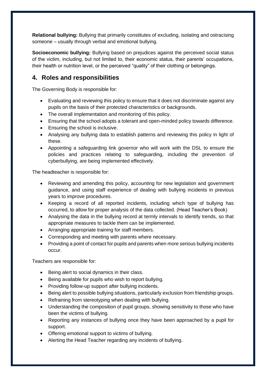**Relational bullying:** Bullying that primarily constitutes of excluding, isolating and ostracising someone – usually through verbal and emotional bullying.

**Socioeconomic bullying:** Bullying based on prejudices against the perceived social status of the victim, including, but not limited to, their economic status, their parents' occupations, their health or nutrition level, or the perceived "quality" of their clothing or belongings.

#### <span id="page-5-0"></span>**4. Roles and responsibilities**

The Governing Body is responsible for:

- Evaluating and reviewing this policy to ensure that it does not discriminate against any pupils on the basis of their protected characteristics or backgrounds.
- The overall implementation and monitoring of this policy.
- Ensuring that the school adopts a tolerant and open-minded policy towards difference.
- Ensuring the school is inclusive.
- Analysing any bullying data to establish patterns and reviewing this policy in light of these.
- Appointing a safeguarding link governor who will work with the DSL to ensure the policies and practices relating to safeguarding, including the prevention of cyberbullying, are being implemented effectively.

The headteacher is responsible for:

- Reviewing and amending this policy, accounting for new legislation and government guidance, and using staff experience of dealing with bullying incidents in previous years to improve procedures.
- Keeping a record of all reported incidents, including which type of bullying has occurred, to allow for proper analysis of the data collected. (Head Teacher's Book)
- Analysing the data in the bullying record at termly intervals to identify trends, so that appropriate measures to tackle them can be implemented.
- Arranging appropriate training for staff members.
- Corresponding and meeting with parents where necessary.
- Providing a point of contact for pupils and parents when more serious bullying incidents occur.

Teachers are responsible for:

- Being alert to social dynamics in their class.
- Being available for pupils who wish to report bullying.
- Providing follow-up support after bullying incidents.
- Being alert to possible bullying situations, particularly exclusion from friendship groups.
- Refraining from stereotyping when dealing with bullying.
- Understanding the composition of pupil groups, showing sensitivity to those who have been the victims of bullying.
- Reporting any instances of bullying once they have been approached by a pupil for support.
- Offering emotional support to victims of bullying.
- Alerting the Head Teacher regarding any incidents of bullying.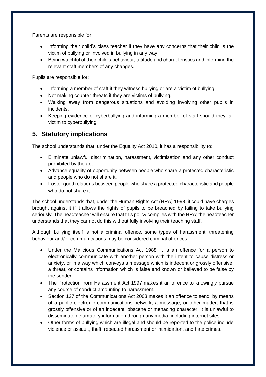Parents are responsible for:

- Informing their child's class teacher if they have any concerns that their child is the victim of bullying or involved in bullying in any way.
- Being watchful of their child's behaviour, attitude and characteristics and informing the relevant staff members of any changes.

Pupils are responsible for:

- Informing a member of staff if they witness bullying or are a victim of bullying.
- Not making counter-threats if they are victims of bullying.
- Walking away from dangerous situations and avoiding involving other pupils in incidents.
- Keeping evidence of cyberbullying and informing a member of staff should they fall victim to cyberbullying.

#### <span id="page-6-0"></span>**5. Statutory implications**

The school understands that, under the Equality Act 2010, it has a responsibility to:

- Eliminate unlawful discrimination, harassment, victimisation and any other conduct prohibited by the act.
- Advance equality of opportunity between people who share a protected characteristic and people who do not share it.
- Foster good relations between people who share a protected characteristic and people who do not share it.

The school understands that, under the Human Rights Act (HRA) 1998, it could have charges brought against it if it allows the rights of pupils to be breached by failing to take bullying seriously. The headteacher will ensure that this policy complies with the HRA; the headteacher understands that they cannot do this without fully involving their teaching staff.

Although bullying itself is not a criminal offence, some types of harassment, threatening behaviour and/or communications may be considered criminal offences:

- Under the Malicious Communications Act 1988, it is an offence for a person to electronically communicate with another person with the intent to cause distress or anxiety, or in a way which conveys a message which is indecent or grossly offensive, a threat, or contains information which is false and known or believed to be false by the sender.
- The Protection from Harassment Act 1997 makes it an offence to knowingly pursue any course of conduct amounting to harassment.
- Section 127 of the Communications Act 2003 makes it an offence to send, by means of a public electronic communications network, a message, or other matter, that is grossly offensive or of an indecent, obscene or menacing character. It is unlawful to disseminate defamatory information through any media, including internet sites.
- Other forms of bullying which are illegal and should be reported to the police include violence or assault, theft, repeated harassment or intimidation, and hate crimes.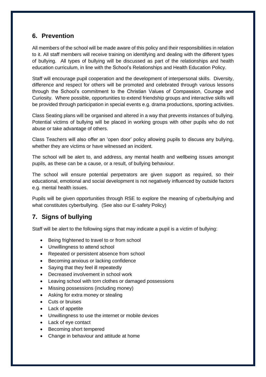#### <span id="page-7-0"></span>**6. Prevention**

All members of the school will be made aware of this policy and their responsibilities in relation to it. All staff members will receive training on identifying and dealing with the different types of bullying. All types of bullying will be discussed as part of the relationships and health education curriculum, in line with the School's Relationships and Health Education Policy.

Staff will encourage pupil cooperation and the development of interpersonal skills. Diversity, difference and respect for others will be promoted and celebrated through various lessons through the School's commitment to the Christian Values of Compassion, Courage and Curiosity. Where possible, opportunities to extend friendship groups and interactive skills will be provided through participation in special events e.g. drama productions, sporting activities.

Class Seating plans will be organised and altered in a way that prevents instances of bullying. Potential victims of bullying will be placed in working groups with other pupils who do not abuse or take advantage of others.

Class Teachers will also offer an 'open door' policy allowing pupils to discuss any bullying, whether they are victims or have witnessed an incident.

The school will be alert to, and address, any mental health and wellbeing issues amongst pupils, as these can be a cause, or a result, of bullying behaviour.

The school will ensure potential perpetrators are given support as required, so their educational, emotional and social development is not negatively influenced by outside factors e.g. mental health issues.

Pupils will be given opportunities through RSE to explore the meaning of cyberbullying and what constitutes cyberbullying. (See also our E-safety Policy)

# <span id="page-7-1"></span>**7. Signs of bullying**

Staff will be alert to the following signs that may indicate a pupil is a victim of bullying:

- Being frightened to travel to or from school
- Unwillingness to attend school
- Repeated or persistent absence from school
- Becoming anxious or lacking confidence
- Saying that they feel ill repeatedly
- Decreased involvement in school work
- Leaving school with torn clothes or damaged possessions
- Missing possessions (including money)
- Asking for extra money or stealing
- Cuts or bruises
- Lack of appetite
- Unwillingness to use the internet or mobile devices
- Lack of eye contact
- Becoming short tempered
- Change in behaviour and attitude at home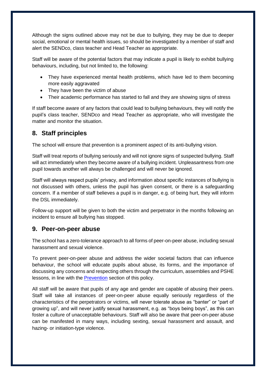Although the signs outlined above may not be due to bullying, they may be due to deeper social, emotional or mental health issues, so should be investigated by a member of staff and alert the SENDco, class teacher and Head Teacher as appropriate.

Staff will be aware of the potential factors that may indicate a pupil is likely to exhibit bullying behaviours, including, but not limited to, the following:

- They have experienced mental health problems, which have led to them becoming more easily aggravated
- They have been the victim of abuse
- Their academic performance has started to fall and they are showing signs of stress

If staff become aware of any factors that could lead to bullying behaviours, they will notify the pupil's class teacher, SENDco and Head Teacher as appropriate, who will investigate the matter and monitor the situation.

#### <span id="page-8-0"></span>**8. Staff principles**

The school will ensure that prevention is a prominent aspect of its anti-bullying vision.

Staff will treat reports of bullying seriously and will not ignore signs of suspected bullying. Staff will act immediately when they become aware of a bullying incident. Unpleasantness from one pupil towards another will always be challenged and will never be ignored.

Staff will always respect pupils' privacy, and information about specific instances of bullying is not discussed with others, unless the pupil has given consent, or there is a safeguarding concern. If a member of staff believes a pupil is in danger, e.g. of being hurt, they will inform the DSL immediately.

Follow-up support will be given to both the victim and perpetrator in the months following an incident to ensure all bullying has stopped.

#### <span id="page-8-1"></span>**9. Peer-on-peer abuse**

The school has a zero-tolerance approach to all forms of peer-on-peer abuse, including sexual harassment and sexual violence.

To prevent peer-on-peer abuse and address the wider societal factors that can influence behaviour, the school will educate pupils about abuse, its forms, and the importance of discussing any concerns and respecting others through the curriculum, assemblies and PSHE lessons, in line with the [Prevention](#page-7-0) section of this policy.

All staff will be aware that pupils of any age and gender are capable of abusing their peers. Staff will take all instances of peer-on-peer abuse equally seriously regardless of the characteristics of the perpetrators or victims, will never tolerate abuse as "banter" or "part of growing up", and will never justify sexual harassment, e.g. as "boys being boys", as this can foster a culture of unacceptable behaviours. Staff will also be aware that peer-on-peer abuse can be manifested in many ways, including sexting, sexual harassment and assault, and hazing- or initiation-type violence.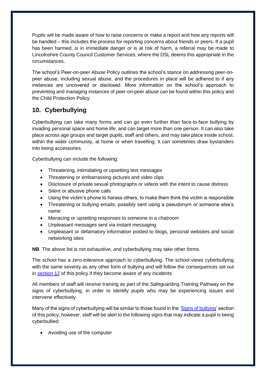Pupils will be made aware of how to raise concerns or make a report and how any reports will be handled – this includes the process for reporting concerns about friends or peers. If a pupil has been harmed, is in immediate danger or is at risk of harm, a referral may be made to Lincolnshire County Council Customer Services, where the DSL deems this appropriate in the circumstances.

The school's Peer-on-peer Abuse Policy outlines the school's stance on addressing peer-onpeer abuse, including sexual abuse, and the procedures in place will be adhered to if any instances are uncovered or disclosed. More information on the school's approach to preventing and managing instances of peer-on-peer abuse can be found within this policy and the Child Protection Policy.

# <span id="page-9-0"></span>**10. Cyberbullying**

Cyberbullying can take many forms and can go even further than face-to-face bullying by invading personal space and home life, and can target more than one person. It can also take place across age groups and target pupils, staff and others, and may take place inside school, within the wider community, at home or when travelling. It can sometimes draw bystanders into being accessories.

Cyberbullying can include the following:

- Threatening, intimidating or upsetting text messages
- Threatening or embarrassing pictures and video clips
- Disclosure of private sexual photographs or videos with the intent to cause distress
- Silent or abusive phone calls
- Using the victim's phone to harass others, to make them think the victim is responsible
- Threatening or bullying emails, possibly sent using a pseudonym or someone else's name
- Menacing or upsetting responses to someone in a chatroom
- Unpleasant messages sent via instant messaging
- Unpleasant or defamatory information posted to blogs, personal websites and social networking sites

**NB**. The above list is not exhaustive, and cyberbullying may take other forms.

The school has a zero-tolerance approach to cyberbullying. The school views cyberbullying with the same severity as any other form of bullying and will follow the consequences set out in [section 12](#page-11-0) of this policy if they become aware of any incidents.

All members of staff will receive training as part of the Safeguarding Training Pathway on the signs of cyberbullying, in order to identify pupils who may be experiencing issues and intervene effectively.

Many of the signs of cyberbullying will be similar to those found in the ['Signs of bullying'](#page-7-1) section of this policy; however, staff will be alert to the following signs that may indicate a pupil is being cyberbullied:

• Avoiding use of the computer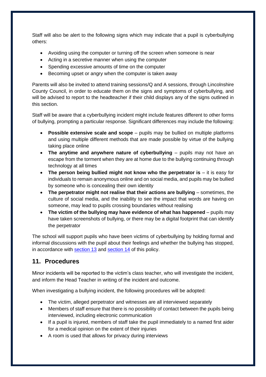Staff will also be alert to the following signs which may indicate that a pupil is cyberbullying others:

- Avoiding using the computer or turning off the screen when someone is near
- Acting in a secretive manner when using the computer
- Spending excessive amounts of time on the computer
- Becoming upset or angry when the computer is taken away

Parents will also be invited to attend training sessions/Q and A sessions, through Lincolnshire County Council, in order to educate them on the signs and symptoms of cyberbullying, and will be advised to report to the headteacher if their child displays any of the signs outlined in this section.

Staff will be aware that a cyberbullying incident might include features different to other forms of bullying, prompting a particular response. Significant differences may include the following:

- **Possible extensive scale and scope** pupils may be bullied on multiple platforms and using multiple different methods that are made possible by virtue of the bullying taking place online
- **The anytime and anywhere nature of cyberbullying** pupils may not have an escape from the torment when they are at home due to the bullying continuing through technology at all times
- **The person being bullied might not know who the perpetrator is** it is easy for individuals to remain anonymous online and on social media, and pupils may be bullied by someone who is concealing their own identity
- **The perpetrator might not realise that their actions are bullying** sometimes, the culture of social media, and the inability to see the impact that words are having on someone, may lead to pupils crossing boundaries without realising
- **The victim of the bullying may have evidence of what has happened** pupils may have taken screenshots of bullying, or there may be a digital footprint that can identify the perpetrator

The school will support pupils who have been victims of cyberbullying by holding formal and informal discussions with the pupil about their feelings and whether the bullying has stopped, in accordance with [section 13](#page-12-0) and [section 14](#page-12-1) of this policy.

# <span id="page-10-0"></span>**11. Procedures**

Minor incidents will be reported to the victim's class teacher, who will investigate the incident, and inform the Head Teacher in writing of the incident and outcome.

When investigating a bullying incident, the following procedures will be adopted:

- The victim, alleged perpetrator and witnesses are all interviewed separately
- Members of staff ensure that there is no possibility of contact between the pupils being interviewed, including electronic communication
- If a pupil is injured, members of staff take the pupil immediately to a named first aider for a medical opinion on the extent of their injuries
- A room is used that allows for privacy during interviews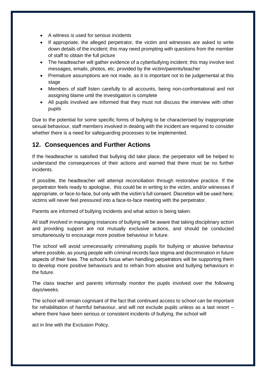- A witness is used for serious incidents
- If appropriate, the alleged perpetrator, the victim and witnesses are asked to write down details of the incident; this may need prompting with questions from the member of staff to obtain the full picture
- The headteacher will gather evidence of a cyberbullying incident; this may involve text messages, emails, photos, etc. provided by the victim/parents/teacher
- Premature assumptions are not made, as it is important not to be judgemental at this stage
- Members of staff listen carefully to all accounts, being non-confrontational and not assigning blame until the investigation is complete
- All pupils involved are informed that they must not discuss the interview with other pupils

Due to the potential for some specific forms of bullying to be characterised by inappropriate sexual behaviour, staff members involved in dealing with the incident are required to consider whether there is a need for safeguarding processes to be implemented.

#### <span id="page-11-0"></span>**12. Consequences and Further Actions**

If the headteacher is satisfied that bullying did take place, the perpetrator will be helped to understand the consequences of their actions and warned that there must be no further incidents.

If possible, the headteacher will attempt reconciliation through restorative practice. If the perpetrator feels ready to apologise, this could be in writing to the victim, and/or witnesses if appropriate, or face-to-face, but only with the victim's full consent. Discretion will be used here; victims will never feel pressured into a face-to-face meeting with the perpetrator.

Parents are informed of bullying incidents and what action is being taken.

All staff involved in managing instances of bullying will be aware that taking disciplinary action and providing support are not mutually exclusive actions, and should be conducted simultaneously to encourage more positive behaviour in future.

The school will avoid unnecessarily criminalising pupils for bullying or abusive behaviour where possible, as young people with criminal records face stigma and discrimination in future aspects of their lives. The school's focus when handling perpetrators will be supporting them to develop more positive behaviours and to refrain from abusive and bullying behaviours in the future.

The class teacher and parents informally monitor the pupils involved over the following days/weeks.

The school will remain cognisant of the fact that continued access to school can be important for rehabilitation of harmful behaviour, and will not exclude pupils unless as a last resort – where there have been serious or consistent incidents of bullying, the school will

act in line with the Exclusion Policy.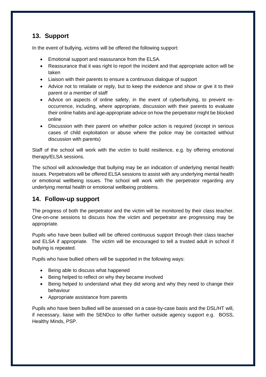#### <span id="page-12-0"></span>**13. Support**

In the event of bullying, victims will be offered the following support:

- Emotional support and reassurance from the ELSA.
- Reassurance that it was right to report the incident and that appropriate action will be taken
- Liaison with their parents to ensure a continuous dialogue of support
- Advice not to retaliate or reply, but to keep the evidence and show or give it to their parent or a member of staff
- Advice on aspects of online safety, in the event of cyberbullying, to prevent reoccurrence, including, where appropriate, discussion with their parents to evaluate their online habits and age-appropriate advice on how the perpetrator might be blocked online
- Discussion with their parent on whether police action is required (except in serious cases of child exploitation or abuse where the police may be contacted without discussion with parents)

Staff of the school will work with the victim to build resilience, e.g. by offering emotional therapy/ELSA sessions.

The school will acknowledge that bullying may be an indication of underlying mental health issues. Perpetrators will be offered ELSA sessions to assist with any underlying mental health or emotional wellbeing issues. The school will work with the perpetrator regarding any underlying mental health or emotional wellbeing problems.

#### <span id="page-12-1"></span>**14. Follow-up support**

The progress of both the perpetrator and the victim will be monitored by their class teacher. One-on-one sessions to discuss how the victim and perpetrator are progressing may be appropriate.

Pupils who have been bullied will be offered continuous support through their class teacher and ELSA if appropriate. The victim will be encouraged to tell a trusted adult in school if bullying is repeated.

Pupils who have bullied others will be supported in the following ways:

- Being able to discuss what happened
- Being helped to reflect on why they became involved
- Being helped to understand what they did wrong and why they need to change their behaviour
- Appropriate assistance from parents

Pupils who have been bullied will be assessed on a case-by-case basis and the DSL/HT will, if necessary, liaise with the SENDco to offer further outside agency support e.g. BOSS, Healthy Minds, PSP.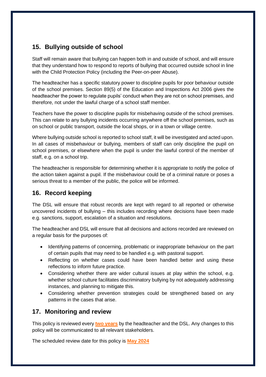# <span id="page-13-0"></span>**15. Bullying outside of school**

Staff will remain aware that bullying can happen both in and outside of school, and will ensure that they understand how to respond to reports of bullying that occurred outside school in line with the Child Protection Policy (including the Peer-on-peer Abuse).

The headteacher has a specific statutory power to discipline pupils for poor behaviour outside of the school premises. Section 89(5) of the Education and Inspections Act 2006 gives the headteacher the power to regulate pupils' conduct when they are not on school premises, and therefore, not under the lawful charge of a school staff member.

Teachers have the power to discipline pupils for misbehaving outside of the school premises. This can relate to any bullying incidents occurring anywhere off the school premises, such as on school or public transport, outside the local shops, or in a town or village centre.

Where bullying outside school is reported to school staff, it will be investigated and acted upon. In all cases of misbehaviour or bullying, members of staff can only discipline the pupil on school premises, or elsewhere when the pupil is under the lawful control of the member of staff, e.g. on a school trip.

The headteacher is responsible for determining whether it is appropriate to notify the police of the action taken against a pupil. If the misbehaviour could be of a criminal nature or poses a serious threat to a member of the public, the police will be informed.

#### <span id="page-13-1"></span>**16. Record keeping**

The DSL will ensure that robust records are kept with regard to all reported or otherwise uncovered incidents of bullying – this includes recording where decisions have been made e.g. sanctions, support, escalation of a situation and resolutions.

The headteacher and DSL will ensure that all decisions and actions recorded are reviewed on a regular basis for the purposes of:

- Identifying patterns of concerning, problematic or inappropriate behaviour on the part of certain pupils that may need to be handled e.g. with pastoral support.
- Reflecting on whether cases could have been handled better and using these reflections to inform future practice.
- Considering whether there are wider cultural issues at play within the school, e.g. whether school culture facilitates discriminatory bullying by not adequately addressing instances, and planning to mitigate this.
- Considering whether prevention strategies could be strengthened based on any patterns in the cases that arise.

#### <span id="page-13-2"></span>**17. Monitoring and review**

This policy is reviewed every **two years** by the headteacher and the DSL. Any changes to this policy will be communicated to all relevant stakeholders.

The scheduled review date for this policy is **May 2024**